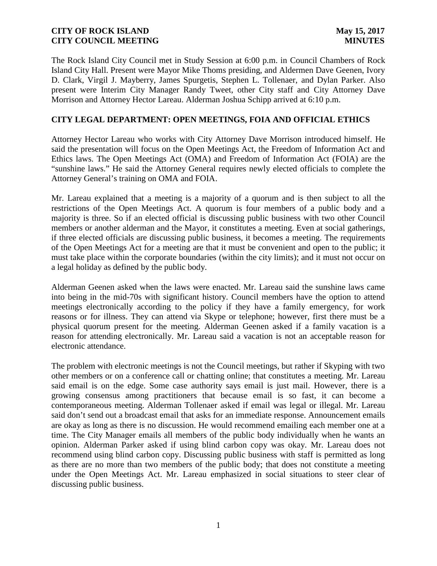The Rock Island City Council met in Study Session at 6:00 p.m. in Council Chambers of Rock Island City Hall. Present were Mayor Mike Thoms presiding, and Aldermen Dave Geenen, Ivory D. Clark, Virgil J. Mayberry, James Spurgetis, Stephen L. Tollenaer, and Dylan Parker. Also present were Interim City Manager Randy Tweet, other City staff and City Attorney Dave Morrison and Attorney Hector Lareau. Alderman Joshua Schipp arrived at 6:10 p.m.

## **CITY LEGAL DEPARTMENT: OPEN MEETINGS, FOIA AND OFFICIAL ETHICS**

Attorney Hector Lareau who works with City Attorney Dave Morrison introduced himself. He said the presentation will focus on the Open Meetings Act, the Freedom of Information Act and Ethics laws. The Open Meetings Act (OMA) and Freedom of Information Act (FOIA) are the "sunshine laws." He said the Attorney General requires newly elected officials to complete the Attorney General's training on OMA and FOIA.

Mr. Lareau explained that a meeting is a majority of a quorum and is then subject to all the restrictions of the Open Meetings Act. A quorum is four members of a public body and a majority is three. So if an elected official is discussing public business with two other Council members or another alderman and the Mayor, it constitutes a meeting. Even at social gatherings, if three elected officials are discussing public business, it becomes a meeting. The requirements of the Open Meetings Act for a meeting are that it must be convenient and open to the public; it must take place within the corporate boundaries (within the city limits); and it must not occur on a legal holiday as defined by the public body.

Alderman Geenen asked when the laws were enacted. Mr. Lareau said the sunshine laws came into being in the mid-70s with significant history. Council members have the option to attend meetings electronically according to the policy if they have a family emergency, for work reasons or for illness. They can attend via Skype or telephone; however, first there must be a physical quorum present for the meeting. Alderman Geenen asked if a family vacation is a reason for attending electronically. Mr. Lareau said a vacation is not an acceptable reason for electronic attendance.

The problem with electronic meetings is not the Council meetings, but rather if Skyping with two other members or on a conference call or chatting online; that constitutes a meeting. Mr. Lareau said email is on the edge. Some case authority says email is just mail. However, there is a growing consensus among practitioners that because email is so fast, it can become a contemporaneous meeting. Alderman Tollenaer asked if email was legal or illegal. Mr. Lareau said don't send out a broadcast email that asks for an immediate response. Announcement emails are okay as long as there is no discussion. He would recommend emailing each member one at a time. The City Manager emails all members of the public body individually when he wants an opinion. Alderman Parker asked if using blind carbon copy was okay. Mr. Lareau does not recommend using blind carbon copy. Discussing public business with staff is permitted as long as there are no more than two members of the public body; that does not constitute a meeting under the Open Meetings Act. Mr. Lareau emphasized in social situations to steer clear of discussing public business.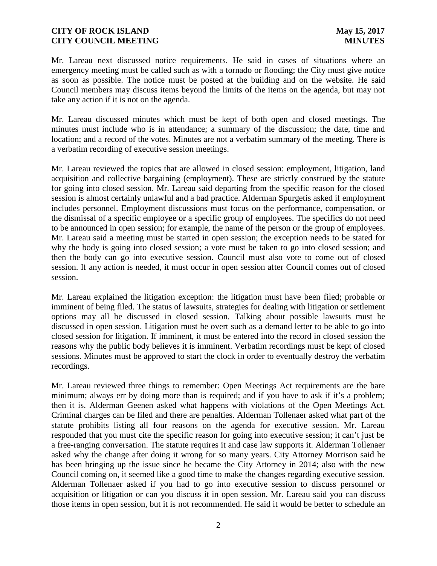Mr. Lareau next discussed notice requirements. He said in cases of situations where an emergency meeting must be called such as with a tornado or flooding; the City must give notice as soon as possible. The notice must be posted at the building and on the website. He said Council members may discuss items beyond the limits of the items on the agenda, but may not take any action if it is not on the agenda.

Mr. Lareau discussed minutes which must be kept of both open and closed meetings. The minutes must include who is in attendance; a summary of the discussion; the date, time and location; and a record of the votes. Minutes are not a verbatim summary of the meeting. There is a verbatim recording of executive session meetings.

Mr. Lareau reviewed the topics that are allowed in closed session: employment, litigation, land acquisition and collective bargaining (employment). These are strictly construed by the statute for going into closed session. Mr. Lareau said departing from the specific reason for the closed session is almost certainly unlawful and a bad practice. Alderman Spurgetis asked if employment includes personnel. Employment discussions must focus on the performance, compensation, or the dismissal of a specific employee or a specific group of employees. The specifics do not need to be announced in open session; for example, the name of the person or the group of employees. Mr. Lareau said a meeting must be started in open session; the exception needs to be stated for why the body is going into closed session; a vote must be taken to go into closed session; and then the body can go into executive session. Council must also vote to come out of closed session. If any action is needed, it must occur in open session after Council comes out of closed session.

Mr. Lareau explained the litigation exception: the litigation must have been filed; probable or imminent of being filed. The status of lawsuits, strategies for dealing with litigation or settlement options may all be discussed in closed session. Talking about possible lawsuits must be discussed in open session. Litigation must be overt such as a demand letter to be able to go into closed session for litigation. If imminent, it must be entered into the record in closed session the reasons why the public body believes it is imminent. Verbatim recordings must be kept of closed sessions. Minutes must be approved to start the clock in order to eventually destroy the verbatim recordings.

Mr. Lareau reviewed three things to remember: Open Meetings Act requirements are the bare minimum; always err by doing more than is required; and if you have to ask if it's a problem; then it is. Alderman Geenen asked what happens with violations of the Open Meetings Act. Criminal charges can be filed and there are penalties. Alderman Tollenaer asked what part of the statute prohibits listing all four reasons on the agenda for executive session. Mr. Lareau responded that you must cite the specific reason for going into executive session; it can't just be a free-ranging conversation. The statute requires it and case law supports it. Alderman Tollenaer asked why the change after doing it wrong for so many years. City Attorney Morrison said he has been bringing up the issue since he became the City Attorney in 2014; also with the new Council coming on, it seemed like a good time to make the changes regarding executive session. Alderman Tollenaer asked if you had to go into executive session to discuss personnel or acquisition or litigation or can you discuss it in open session. Mr. Lareau said you can discuss those items in open session, but it is not recommended. He said it would be better to schedule an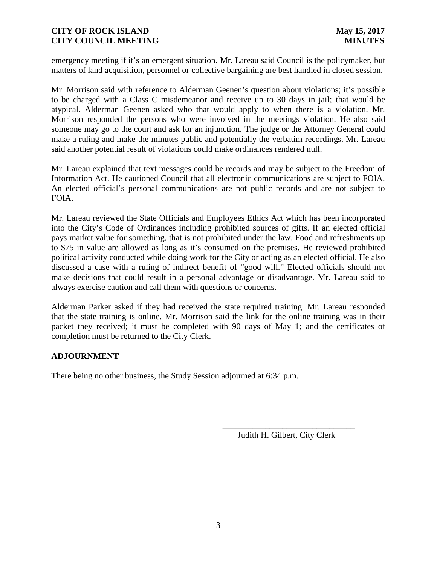emergency meeting if it's an emergent situation. Mr. Lareau said Council is the policymaker, but matters of land acquisition, personnel or collective bargaining are best handled in closed session.

Mr. Morrison said with reference to Alderman Geenen's question about violations; it's possible to be charged with a Class C misdemeanor and receive up to 30 days in jail; that would be atypical. Alderman Geenen asked who that would apply to when there is a violation. Mr. Morrison responded the persons who were involved in the meetings violation. He also said someone may go to the court and ask for an injunction. The judge or the Attorney General could make a ruling and make the minutes public and potentially the verbatim recordings. Mr. Lareau said another potential result of violations could make ordinances rendered null.

Mr. Lareau explained that text messages could be records and may be subject to the Freedom of Information Act. He cautioned Council that all electronic communications are subject to FOIA. An elected official's personal communications are not public records and are not subject to FOIA.

Mr. Lareau reviewed the State Officials and Employees Ethics Act which has been incorporated into the City's Code of Ordinances including prohibited sources of gifts. If an elected official pays market value for something, that is not prohibited under the law. Food and refreshments up to \$75 in value are allowed as long as it's consumed on the premises. He reviewed prohibited political activity conducted while doing work for the City or acting as an elected official. He also discussed a case with a ruling of indirect benefit of "good will." Elected officials should not make decisions that could result in a personal advantage or disadvantage. Mr. Lareau said to always exercise caution and call them with questions or concerns.

Alderman Parker asked if they had received the state required training. Mr. Lareau responded that the state training is online. Mr. Morrison said the link for the online training was in their packet they received; it must be completed with 90 days of May 1; and the certificates of completion must be returned to the City Clerk.

### **ADJOURNMENT**

There being no other business, the Study Session adjourned at 6:34 p.m.

Judith H. Gilbert, City Clerk

\_\_\_\_\_\_\_\_\_\_\_\_\_\_\_\_\_\_\_\_\_\_\_\_\_\_\_\_\_\_\_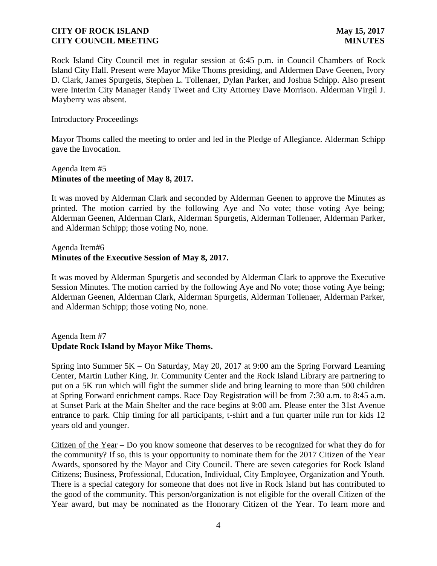Rock Island City Council met in regular session at 6:45 p.m. in Council Chambers of Rock Island City Hall. Present were Mayor Mike Thoms presiding, and Aldermen Dave Geenen, Ivory D. Clark, James Spurgetis, Stephen L. Tollenaer, Dylan Parker, and Joshua Schipp. Also present were Interim City Manager Randy Tweet and City Attorney Dave Morrison. Alderman Virgil J. Mayberry was absent.

#### Introductory Proceedings

Mayor Thoms called the meeting to order and led in the Pledge of Allegiance. Alderman Schipp gave the Invocation.

## Agenda Item #5 **Minutes of the meeting of May 8, 2017.**

It was moved by Alderman Clark and seconded by Alderman Geenen to approve the Minutes as printed. The motion carried by the following Aye and No vote; those voting Aye being; Alderman Geenen, Alderman Clark, Alderman Spurgetis, Alderman Tollenaer, Alderman Parker, and Alderman Schipp; those voting No, none.

Agenda Item#6

## **Minutes of the Executive Session of May 8, 2017.**

It was moved by Alderman Spurgetis and seconded by Alderman Clark to approve the Executive Session Minutes. The motion carried by the following Aye and No vote; those voting Aye being; Alderman Geenen, Alderman Clark, Alderman Spurgetis, Alderman Tollenaer, Alderman Parker, and Alderman Schipp; those voting No, none.

# Agenda Item #7 **Update Rock Island by Mayor Mike Thoms.**

Spring into Summer 5K – On Saturday, May 20, 2017 at 9:00 am the Spring Forward Learning Center, Martin Luther King, Jr. Community Center and the Rock Island Library are partnering to put on a 5K run which will fight the summer slide and bring learning to more than 500 children at Spring Forward enrichment camps. Race Day Registration will be from 7:30 a.m. to 8:45 a.m. at Sunset Park at the Main Shelter and the race begins at 9:00 am. Please enter the 31st Avenue entrance to park. Chip timing for all participants, t-shirt and a fun quarter mile run for kids 12 years old and younger.

Citizen of the Year – Do you know someone that deserves to be recognized for what they do for the community? If so, this is your opportunity to nominate them for the 2017 Citizen of the Year Awards, sponsored by the Mayor and City Council. There are seven categories for Rock Island Citizens; Business, Professional, Education, Individual, City Employee, Organization and Youth. There is a special category for someone that does not live in Rock Island but has contributed to the good of the community. This person/organization is not eligible for the overall Citizen of the Year award, but may be nominated as the Honorary Citizen of the Year. To learn more and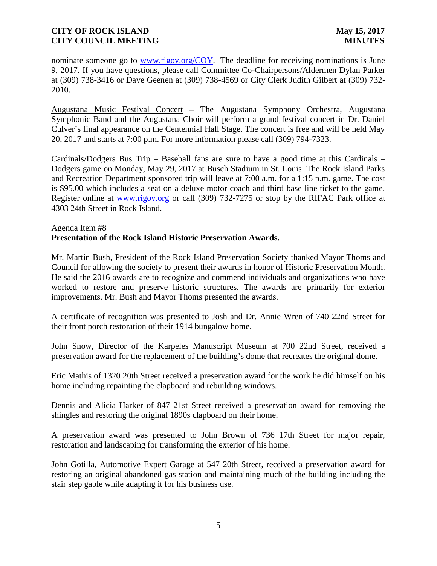nominate someone go to www.rigov.org/COY. The deadline for receiving nominations is June 9, 2017. If you have questions, please call Committee Co-Chairpersons/Aldermen Dylan Parker at (309) 738-3416 or Dave Geenen at (309) 738-4569 or City Clerk Judith Gilbert at (309) 732- 2010.

Augustana Music Festival Concert – The Augustana Symphony Orchestra, Augustana Symphonic Band and the Augustana Choir will perform a grand festival concert in Dr. Daniel Culver's final appearance on the Centennial Hall Stage. The concert is free and will be held May 20, 2017 and starts at 7:00 p.m. For more information please call (309) 794-7323.

Cardinals/Dodgers Bus Trip – Baseball fans are sure to have a good time at this Cardinals – Dodgers game on Monday, May 29, 2017 at Busch Stadium in St. Louis. The Rock Island Parks and Recreation Department sponsored trip will leave at 7:00 a.m. for a 1:15 p.m. game. The cost is \$95.00 which includes a seat on a deluxe motor coach and third base line ticket to the game. Register online at www.rigov.org or call (309) 732-7275 or stop by the RIFAC Park office at 4303 24th Street in Rock Island.

### Agenda Item #8 **Presentation of the Rock Island Historic Preservation Awards.**

Mr. Martin Bush, President of the Rock Island Preservation Society thanked Mayor Thoms and Council for allowing the society to present their awards in honor of Historic Preservation Month. He said the 2016 awards are to recognize and commend individuals and organizations who have worked to restore and preserve historic structures. The awards are primarily for exterior improvements. Mr. Bush and Mayor Thoms presented the awards.

A certificate of recognition was presented to Josh and Dr. Annie Wren of 740 22nd Street for their front porch restoration of their 1914 bungalow home.

John Snow, Director of the Karpeles Manuscript Museum at 700 22nd Street, received a preservation award for the replacement of the building's dome that recreates the original dome.

Eric Mathis of 1320 20th Street received a preservation award for the work he did himself on his home including repainting the clapboard and rebuilding windows.

Dennis and Alicia Harker of 847 21st Street received a preservation award for removing the shingles and restoring the original 1890s clapboard on their home.

A preservation award was presented to John Brown of 736 17th Street for major repair, restoration and landscaping for transforming the exterior of his home.

John Gotilla, Automotive Expert Garage at 547 20th Street, received a preservation award for restoring an original abandoned gas station and maintaining much of the building including the stair step gable while adapting it for his business use.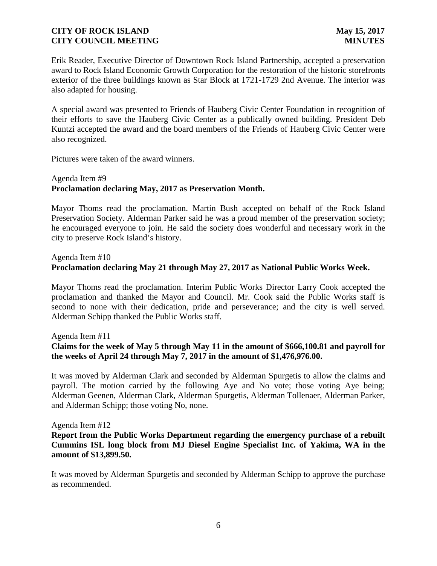Erik Reader, Executive Director of Downtown Rock Island Partnership, accepted a preservation award to Rock Island Economic Growth Corporation for the restoration of the historic storefronts exterior of the three buildings known as Star Block at 1721-1729 2nd Avenue. The interior was also adapted for housing.

A special award was presented to Friends of Hauberg Civic Center Foundation in recognition of their efforts to save the Hauberg Civic Center as a publically owned building. President Deb Kuntzi accepted the award and the board members of the Friends of Hauberg Civic Center were also recognized.

Pictures were taken of the award winners.

### Agenda Item #9 **Proclamation declaring May, 2017 as Preservation Month.**

Mayor Thoms read the proclamation. Martin Bush accepted on behalf of the Rock Island Preservation Society. Alderman Parker said he was a proud member of the preservation society; he encouraged everyone to join. He said the society does wonderful and necessary work in the city to preserve Rock Island's history.

## Agenda Item #10 **Proclamation declaring May 21 through May 27, 2017 as National Public Works Week.**

Mayor Thoms read the proclamation. Interim Public Works Director Larry Cook accepted the proclamation and thanked the Mayor and Council. Mr. Cook said the Public Works staff is second to none with their dedication, pride and perseverance; and the city is well served. Alderman Schipp thanked the Public Works staff.

Agenda Item #11

# **Claims for the week of May 5 through May 11 in the amount of \$666,100.81 and payroll for the weeks of April 24 through May 7, 2017 in the amount of \$1,476,976.00.**

It was moved by Alderman Clark and seconded by Alderman Spurgetis to allow the claims and payroll. The motion carried by the following Aye and No vote; those voting Aye being; Alderman Geenen, Alderman Clark, Alderman Spurgetis, Alderman Tollenaer, Alderman Parker, and Alderman Schipp; those voting No, none.

### Agenda Item #12

**Report from the Public Works Department regarding the emergency purchase of a rebuilt Cummins ISL long block from MJ Diesel Engine Specialist Inc. of Yakima, WA in the amount of \$13,899.50.**

It was moved by Alderman Spurgetis and seconded by Alderman Schipp to approve the purchase as recommended.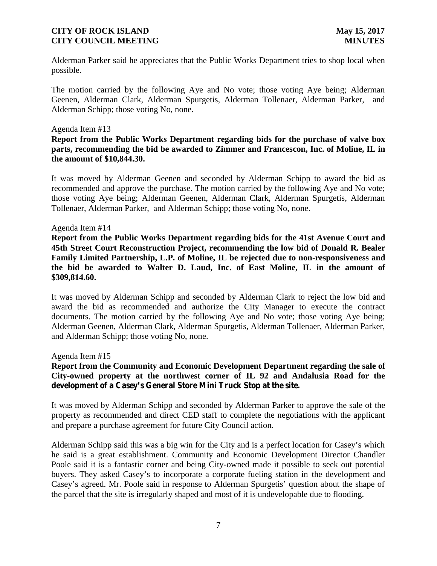Alderman Parker said he appreciates that the Public Works Department tries to shop local when possible.

The motion carried by the following Aye and No vote; those voting Aye being; Alderman Geenen, Alderman Clark, Alderman Spurgetis, Alderman Tollenaer, Alderman Parker, and Alderman Schipp; those voting No, none.

#### Agenda Item #13

## **Report from the Public Works Department regarding bids for the purchase of valve box parts, recommending the bid be awarded to Zimmer and Francescon, Inc. of Moline, IL in the amount of \$10,844.30.**

It was moved by Alderman Geenen and seconded by Alderman Schipp to award the bid as recommended and approve the purchase. The motion carried by the following Aye and No vote; those voting Aye being; Alderman Geenen, Alderman Clark, Alderman Spurgetis, Alderman Tollenaer, Alderman Parker, and Alderman Schipp; those voting No, none.

#### Agenda Item #14

**Report from the Public Works Department regarding bids for the 41st Avenue Court and 45th Street Court Reconstruction Project, recommending the low bid of Donald R. Bealer Family Limited Partnership, L.P. of Moline, IL be rejected due to non-responsiveness and the bid be awarded to Walter D. Laud, Inc. of East Moline, IL in the amount of \$309,814.60.**

It was moved by Alderman Schipp and seconded by Alderman Clark to reject the low bid and award the bid as recommended and authorize the City Manager to execute the contract documents. The motion carried by the following Aye and No vote; those voting Aye being; Alderman Geenen, Alderman Clark, Alderman Spurgetis, Alderman Tollenaer, Alderman Parker, and Alderman Schipp; those voting No, none.

Agenda Item #15

## **Report from the Community and Economic Development Department regarding the sale of City-owned property at the northwest corner of IL 92 and Andalusia Road for the development of a Casey's General Store Mini Truck Stop at the site.**

It was moved by Alderman Schipp and seconded by Alderman Parker to approve the sale of the property as recommended and direct CED staff to complete the negotiations with the applicant and prepare a purchase agreement for future City Council action.

Alderman Schipp said this was a big win for the City and is a perfect location for Casey's which he said is a great establishment. Community and Economic Development Director Chandler Poole said it is a fantastic corner and being City-owned made it possible to seek out potential buyers. They asked Casey's to incorporate a corporate fueling station in the development and Casey's agreed. Mr. Poole said in response to Alderman Spurgetis' question about the shape of the parcel that the site is irregularly shaped and most of it is undevelopable due to flooding.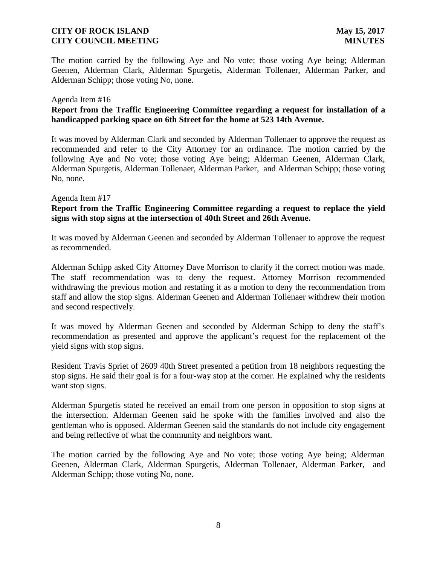The motion carried by the following Aye and No vote; those voting Aye being; Alderman Geenen, Alderman Clark, Alderman Spurgetis, Alderman Tollenaer, Alderman Parker, and Alderman Schipp; those voting No, none.

#### Agenda Item #16

## **Report from the Traffic Engineering Committee regarding a request for installation of a handicapped parking space on 6th Street for the home at 523 14th Avenue.**

It was moved by Alderman Clark and seconded by Alderman Tollenaer to approve the request as recommended and refer to the City Attorney for an ordinance. The motion carried by the following Aye and No vote; those voting Aye being; Alderman Geenen, Alderman Clark, Alderman Spurgetis, Alderman Tollenaer, Alderman Parker, and Alderman Schipp; those voting No, none.

#### Agenda Item #17

## **Report from the Traffic Engineering Committee regarding a request to replace the yield signs with stop signs at the intersection of 40th Street and 26th Avenue.**

It was moved by Alderman Geenen and seconded by Alderman Tollenaer to approve the request as recommended.

Alderman Schipp asked City Attorney Dave Morrison to clarify if the correct motion was made. The staff recommendation was to deny the request. Attorney Morrison recommended withdrawing the previous motion and restating it as a motion to deny the recommendation from staff and allow the stop signs. Alderman Geenen and Alderman Tollenaer withdrew their motion and second respectively.

It was moved by Alderman Geenen and seconded by Alderman Schipp to deny the staff's recommendation as presented and approve the applicant's request for the replacement of the yield signs with stop signs.

Resident Travis Spriet of 2609 40th Street presented a petition from 18 neighbors requesting the stop signs. He said their goal is for a four-way stop at the corner. He explained why the residents want stop signs.

Alderman Spurgetis stated he received an email from one person in opposition to stop signs at the intersection. Alderman Geenen said he spoke with the families involved and also the gentleman who is opposed. Alderman Geenen said the standards do not include city engagement and being reflective of what the community and neighbors want.

The motion carried by the following Aye and No vote; those voting Aye being; Alderman Geenen, Alderman Clark, Alderman Spurgetis, Alderman Tollenaer, Alderman Parker, and Alderman Schipp; those voting No, none.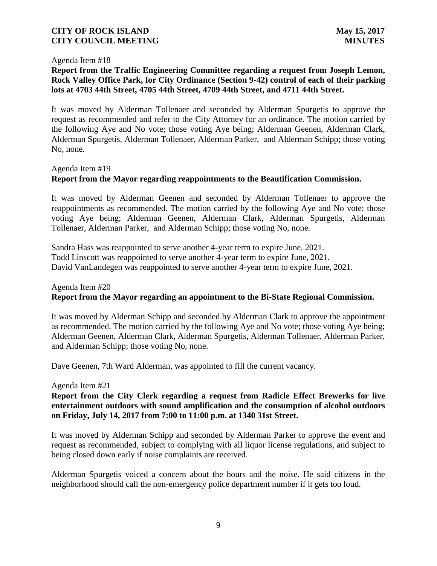#### Agenda Item #18

## **Report from the Traffic Engineering Committee regarding a request from Joseph Lemon, Rock Valley Office Park, for City Ordinance (Section 9-42) control of each of their parking lots at 4703 44th Street, 4705 44th Street, 4709 44th Street, and 4711 44th Street.**

It was moved by Alderman Tollenaer and seconded by Alderman Spurgetis to approve the request as recommended and refer to the City Attorney for an ordinance. The motion carried by the following Aye and No vote; those voting Aye being; Alderman Geenen, Alderman Clark, Alderman Spurgetis, Alderman Tollenaer, Alderman Parker, and Alderman Schipp; those voting No, none.

#### Agenda Item #19

## **Report from the Mayor regarding reappointments to the Beautification Commission.**

It was moved by Alderman Geenen and seconded by Alderman Tollenaer to approve the reappointments as recommended. The motion carried by the following Aye and No vote; those voting Aye being; Alderman Geenen, Alderman Clark, Alderman Spurgetis, Alderman Tollenaer, Alderman Parker, and Alderman Schipp; those voting No, none.

Sandra Hass was reappointed to serve another 4-year term to expire June, 2021. Todd Linscott was reappointed to serve another 4-year term to expire June, 2021. David VanLandegen was reappointed to serve another 4-year term to expire June, 2021.

# Agenda Item #20 **Report from the Mayor regarding an appointment to the Bi-State Regional Commission.**

It was moved by Alderman Schipp and seconded by Alderman Clark to approve the appointment as recommended. The motion carried by the following Aye and No vote; those voting Aye being; Alderman Geenen, Alderman Clark, Alderman Spurgetis, Alderman Tollenaer, Alderman Parker, and Alderman Schipp; those voting No, none.

Dave Geenen, 7th Ward Alderman, was appointed to fill the current vacancy.

#### Agenda Item #21

## **Report from the City Clerk regarding a request from Radicle Effect Brewerks for live entertainment outdoors with sound amplification and the consumption of alcohol outdoors on Friday, July 14, 2017 from 7:00 to 11:00 p.m. at 1340 31st Street.**

It was moved by Alderman Schipp and seconded by Alderman Parker to approve the event and request as recommended, subject to complying with all liquor license regulations, and subject to being closed down early if noise complaints are received.

Alderman Spurgetis voiced a concern about the hours and the noise. He said citizens in the neighborhood should call the non-emergency police department number if it gets too loud.